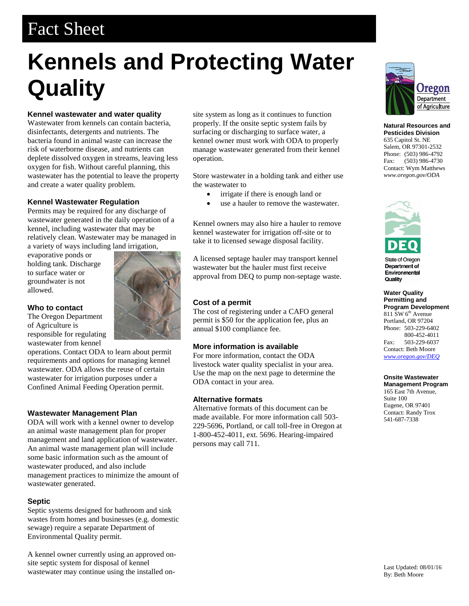## Fact Sheet

# **Kennels and Protecting Water Quality**

### **Kennel wastewater and water quality**

Wastewater from kennels can contain bacteria, disinfectants, detergents and nutrients. The bacteria found in animal waste can increase the risk of waterborne disease, and nutrients can deplete dissolved oxygen in streams, leaving less oxygen for fish. Without careful planning, this wastewater has the potential to leave the property and create a water quality problem.

#### **Kennel Wastewater Regulation**

Permits may be required for any discharge of wastewater generated in the daily operation of a kennel, including wastewater that may be relatively clean. Wastewater may be managed in a variety of ways including land irrigation,

evaporative ponds or holding tank. Discharge to surface water or groundwater is not allowed.



**Who to contact** The Oregon Department of Agriculture is responsible for regulating wastewater from kennel

operations. Contact ODA to learn about permit requirements and options for managing kennel wastewater. ODA allows the reuse of certain wastewater for irrigation purposes under a Confined Animal Feeding Operation permit.

#### **Wastewater Management Plan**

ODA will work with a kennel owner to develop an animal waste management plan for proper management and land application of wastewater. An animal waste management plan will include some basic information such as the amount of wastewater produced, and also include management practices to minimize the amount of wastewater generated.

#### **Septic**

Septic systems designed for bathroom and sink wastes from homes and businesses (e.g. domestic sewage) require a separate Department of Environmental Quality permit.

A kennel owner currently using an approved onsite septic system for disposal of kennel wastewater may continue using the installed on-

site system as long as it continues to function properly. If the onsite septic system fails by surfacing or discharging to surface water, a kennel owner must work with ODA to properly manage wastewater generated from their kennel operation.

Store wastewater in a holding tank and either use the wastewater to

- irrigate if there is enough land or
- use a hauler to remove the wastewater.

Kennel owners may also hire a hauler to remove kennel wastewater for irrigation off-site or to take it to licensed sewage disposal facility.

A licensed septage hauler may transport kennel wastewater but the hauler must first receive approval from DEQ to pump non-septage waste.

#### **Cost of a permit**

The cost of registering under a CAFO general permit is \$50 for the application fee, plus an annual \$100 compliance fee.

#### **More information is available**

For more information, contact the ODA livestock water quality specialist in your area. Use the map on the next page to determine the ODA contact in your area.

#### **Alternative formats**

Alternative formats of this document can be made available. For more information call 503- 229-5696, Portland, or call toll-free in Oregon at 1-800-452-4011, ext. 5696. Hearing-impaired persons may call 711.



**Natural Resources and Pesticides Division** 635 Capitol St. NE Salem, OR 97301-2532 Phone: (503) 986-4792 Fax: (503) 986-4730 Contact: Wym Matthews *www.oregon.gov/ODA*



**State of Oregon** Department of Environmental Quality

**Water Quality Permitting and Program Development**  $811$  SW  $6<sup>th</sup>$  Avenue Portland, OR 97204 Phone: 503-229-6402 800-452-4011 Fax: 503-229-6037 Contact: Beth Moore *<www.oregon.gov/DEQ>*

#### **Onsite Wastewater Management Program**

165 East 7th Avenue, Suite 100 Eugene, OR 97401 Contact: Randy Trox 541-687-7338